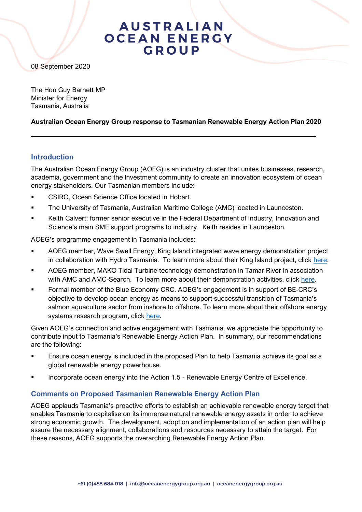## **AUSTRALIAN OCEAN ENERGY** GROUP

08 September 2020

The Hon Guy Barnett MP Minister for Energy Tasmania, Australia

### **Australian Ocean Energy Group response to Tasmanian Renewable Energy Action Plan 2020**

### **Introduction**

The Australian Ocean Energy Group (AOEG) is an industry cluster that unites businesses, research, academia, government and the Investment community to create an innovation ecosystem of ocean energy stakeholders. Our Tasmanian members include:

- CSIRO, Ocean Science Office located in Hobart.
- The University of Tasmania, Australian Maritime College (AMC) located in Launceston.
- Keith Calvert; former senior executive in the Federal Department of Industry, Innovation and Science's main SME support programs to industry. Keith resides in Launceston.

AOEG's programme engagement in Tasmania includes:

- AOEG member, Wave Swell Energy, King Island integrated wave energy demonstration project in collaboration with Hydro Tasmania. To learn more about their King Island project, click [here.](https://oceanenergygroup.org.au/abc-interview-with-dr-tom-denniss-wave-swell-energy-in-the-news-1875/)
- AOEG member, MAKO Tidal Turbine technology demonstration in Tamar River in association with AMC and AMC-Search. To learn more about their demonstration activities, click [here.](https://585afd54-dccc-4c12-85b6-cb89ffe61082.filesusr.com/ugd/c4761b_a9bd588ccb944fe7bf390714da5434a8.pdf)
- Formal member of the Blue Economy CRC. AOEG's engagement is in support of BE-CRC's objective to develop ocean energy as means to support successful transition of Tasmania's salmon aquaculture sector from inshore to offshore. To learn more about their offshore energy systems research program, click [here.](https://blueeconomycrc.com.au/research/offshore-renewable-energy-systems/)

Given AOEG's connection and active engagement with Tasmania, we appreciate the opportunity to contribute input to Tasmania's Renewable Energy Action Plan. In summary, our recommendations are the following:

- **Ensure ocean energy is included in the proposed Plan to help Tasmania achieve its goal as a** global renewable energy powerhouse.
- Incorporate ocean energy into the Action 1.5 Renewable Energy Centre of Excellence.

### **Comments on Proposed Tasmanian Renewable Energy Action Plan**

AOEG applauds Tasmania's proactive efforts to establish an achievable renewable energy target that enables Tasmania to capitalise on its immense natural renewable energy assets in order to achieve strong economic growth. The development, adoption and implementation of an action plan will help assure the necessary alignment, collaborations and resources necessary to attain the target. For these reasons, AOEG supports the overarching Renewable Energy Action Plan.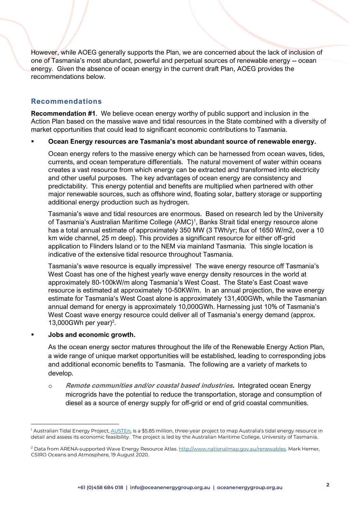However, while AOEG generally supports the Plan, we are concerned about the lack of inclusion of one of Tasmania's most abundant, powerful and perpetual sources of renewable energy -- ocean energy. Given the absence of ocean energy in the current draft Plan, AOEG provides the recommendations below.

### **Recommendations**

**Recommendation #1**. We believe ocean energy worthy of public support and inclusion in the Action Plan based on the massive wave and tidal resources in the State combined with a diversity of market opportunities that could lead to significant economic contributions to Tasmania.

### ▪ **Ocean Energy resources are Tasmania's most abundant source of renewable energy.**

Ocean energy refers to the massive energy which can be harnessed from ocean waves, tides, currents, and ocean temperature differentials. The natural movement of water within oceans creates a vast resource from which energy can be extracted and transformed into electricity and other useful purposes. The key advantages of ocean energy are consistency and predictability. This energy potential and benefits are multiplied when partnered with other major renewable sources, such as offshore wind, floating solar, battery storage or supporting additional energy production such as hydrogen.

Tasmania's wave and tidal resources are enormous. Based on research led by the University of Tasmania's Australian Maritime College (AMC)<sup>1</sup>, Banks Strait tidal energy resource alone has a total annual estimate of approximately 350 MW (3 TWh/yr; flux of 1650 W/m2, over a 10 km wide channel, 25 m deep). This provides a significant resource for either off-grid application to Flinders Island or to the NEM via mainland Tasmania. This single location is indicative of the extensive tidal resource throughout Tasmania.

Tasmania's wave resource is equally impressive! The wave energy resource off Tasmania's West Coast has one of the highest yearly wave energy density resources in the world at approximately 80-100kW/m along Tasmania's West Coast. The State's East Coast wave resource is estimated at approximately 10-50KW/m. In an annual projection, the wave energy estimate for Tasmania's West Coast alone is approximately 131,400GWh, while the Tasmanian annual demand for energy is approximately 10,000GWh. Harnessing just 10% of Tasmania's West Coast wave energy resource could deliver all of Tasmania's energy demand (approx. 13,000GWh per year)<sup>2</sup>.

#### **Jobs** and economic growth.

As the ocean energy sector matures throughout the life of the Renewable Energy Action Plan, a wide range of unique market opportunities will be established, leading to corresponding jobs and additional economic benefits to Tasmania. The following are a variety of markets to develop.

o **Remote communities and/or coastal based industries.** Integrated ocean Energy microgrids have the potential to reduce the transportation, storage and consumption of diesel as a source of energy supply for off-grid or end of grid coastal communities.

<sup>&</sup>lt;sup>1</sup> Australian Tidal Energy Project, <u>AUSTEn</u>, is a \$5.85 million, three-year project to map Australia's tidal energy resource in detail and assess its economic feasibility. The project is led by the Australian Maritime College, University of Tasmania.

<sup>&</sup>lt;sup>2</sup> Data from ARENA-supported Wave Energy Resource Atlas. [http://www.nationalmap.gov.au/renewables.](http://www.nationalmap.gov.au/renewables) Mark Hemer, CSIRO Oceans and Atmosphere, 19 August 2020.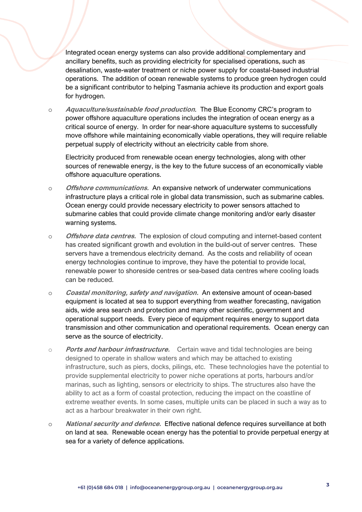Integrated ocean energy systems can also provide additional complementary and ancillary benefits, such as providing electricity for specialised operations, such as desalination, waste-water treatment or niche power supply for coastal-based industrial operations. The addition of ocean renewable systems to produce green hydrogen could be a significant contributor to helping Tasmania achieve its production and export goals for hydrogen.

o **Aquaculture/sustainable food production**. The Blue Economy CRC's program to power offshore aquaculture operations includes the integration of ocean energy as a critical source of energy. In order for near-shore aquaculture systems to successfully move offshore while maintaining economically viable operations, they will require reliable perpetual supply of electricity without an electricity cable from shore.

Electricity produced from renewable ocean energy technologies, along with other sources of renewable energy, is the key to the future success of an economically viable offshore aquaculture operations.

- o **Offshore communications.** An expansive network of underwater communications infrastructure plays a critical role in global data transmission, such as submarine cables. Ocean energy could provide necessary electricity to power sensors attached to submarine cables that could provide climate change monitoring and/or early disaster warning systems.
- o **Offshore data centres.** The explosion of cloud computing and internet-based content has created significant growth and evolution in the build-out of server centres. These servers have a tremendous electricity demand. As the costs and reliability of ocean energy technologies continue to improve, they have the potential to provide local, renewable power to shoreside centres or sea-based data centres where cooling loads can be reduced.
- o **Coastal monitoring, safety and navigation.** An extensive amount of ocean-based equipment is located at sea to support everything from weather forecasting, navigation aids, wide area search and protection and many other scientific, government and operational support needs. Every piece of equipment requires energy to support data transmission and other communication and operational requirements. Ocean energy can serve as the source of electricity.
- o **Ports and harbour infrastructure.** Certain wave and tidal technologies are being designed to operate in shallow waters and which may be attached to existing infrastructure, such as piers, docks, pilings, etc. These technologies have the potential to provide supplemental electricity to power niche operations at ports, harbours and/or marinas, such as lighting, sensors or electricity to ships. The structures also have the ability to act as a form of coastal protection, reducing the impact on the coastline of extreme weather events. In some cases, multiple units can be placed in such a way as to act as a harbour breakwater in their own right.
- o **National security and defence.** Effective national defence requires surveillance at both on land at sea. Renewable ocean energy has the potential to provide perpetual energy at sea for a variety of defence applications.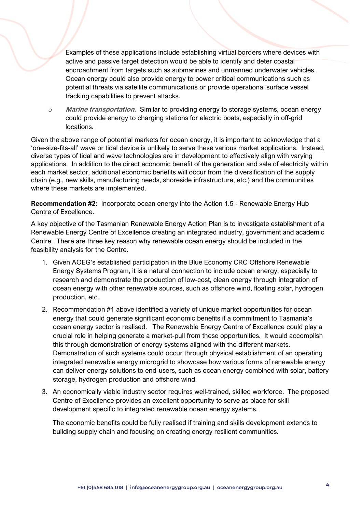Examples of these applications include establishing virtual borders where devices with active and passive target detection would be able to identify and deter coastal encroachment from targets such as submarines and unmanned underwater vehicles. Ocean energy could also provide energy to power critical communications such as potential threats via satellite communications or provide operational surface vessel tracking capabilities to prevent attacks.

o **Marine transportation.** Similar to providing energy to storage systems, ocean energy could provide energy to charging stations for electric boats, especially in off-grid locations.

Given the above range of potential markets for ocean energy, it is important to acknowledge that a 'one-size-fits-all' wave or tidal device is unlikely to serve these various market applications. Instead, diverse types of tidal and wave technologies are in development to effectively align with varying applications. In addition to the direct economic benefit of the generation and sale of electricity within each market sector, additional economic benefits will occur from the diversification of the supply chain (e.g., new skills, manufacturing needs, shoreside infrastructure, etc.) and the communities where these markets are implemented.

**Recommendation #2:** Incorporate ocean energy into the Action 1.5 - Renewable Energy Hub Centre of Excellence.

A key objective of the Tasmanian Renewable Energy Action Plan is to investigate establishment of a Renewable Energy Centre of Excellence creating an integrated industry, government and academic Centre. There are three key reason why renewable ocean energy should be included in the feasibility analysis for the Centre.

- 1. Given AOEG's established participation in the Blue Economy CRC Offshore Renewable Energy Systems Program, it is a natural connection to include ocean energy, especially to research and demonstrate the production of low-cost, clean energy through integration of ocean energy with other renewable sources, such as offshore wind, floating solar, hydrogen production, etc.
- 2. Recommendation #1 above identified a variety of unique market opportunities for ocean energy that could generate significant economic benefits if a commitment to Tasmania's ocean energy sector is realised. The Renewable Energy Centre of Excellence could play a crucial role in helping generate a market-pull from these opportunities. It would accomplish this through demonstration of energy systems aligned with the different markets. Demonstration of such systems could occur through physical establishment of an operating integrated renewable energy microgrid to showcase how various forms of renewable energy can deliver energy solutions to end-users, such as ocean energy combined with solar, battery storage, hydrogen production and offshore wind.
- 3. An economically viable industry sector requires well-trained, skilled workforce. The proposed Centre of Excellence provides an excellent opportunity to serve as place for skill development specific to integrated renewable ocean energy systems.

The economic benefits could be fully realised if training and skills development extends to building supply chain and focusing on creating energy resilient communities.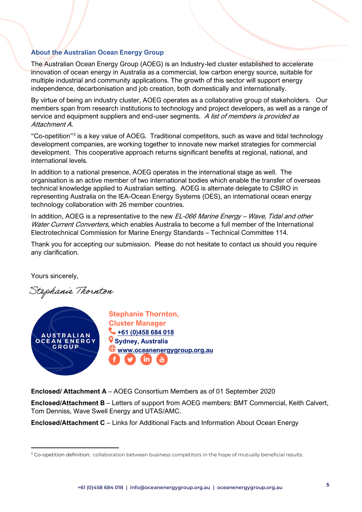### **About the Australian Ocean Energy Group**

The Australian Ocean Energy Group (AOEG) is an Industry-led cluster established to accelerate innovation of ocean energy in Australia as a commercial, low carbon energy source, suitable for multiple industrial and community applications. The growth of this sector will support energy independence, decarbonisation and job creation, both domestically and internationally.

By virtue of being an industry cluster, AOEG operates as a collaborative group of stakeholders. Our members span from research institutions to technology and project developers, as well as a range of service and equipment suppliers and end-user segments. A list of members is provided as Attachment A.

"Co-opetition"<sup>3</sup> is a key value of AOEG. Traditional competitors, such as wave and tidal technology development companies, are working together to innovate new market strategies for commercial development. This cooperative approach returns significant benefits at regional, national, and international levels.

In addition to a national presence, AOEG operates in the international stage as well. The organisation is an active member of two international bodies which enable the transfer of overseas technical knowledge applied to Australian setting. AOEG is alternate delegate to CSIRO in representing Australia on the IEA-Ocean Energy Systems (OES), an international ocean energy technology collaboration with 26 member countries.

In addition, AOEG is a representative to the new  $EL-066$  Marine Energy – Wave, Tidal and other Water Current Converters, which enables Australia to become a full member of the International Electrotechnical Commission for Marine Energy Standards – Technical Committee 114.

Thank you for accepting our submission. Please do not hesitate to contact us should you require any clarification.

Yours sincerely,

Stephanie Thornton



**Enclosed/ Attachment A** – AOEG Consortium Members as of 01 September 2020

**Enclosed/Attachment B** – Letters of support from AOEG members: BMT Commercial, Keith Calvert, Tom Denniss, Wave Swell Energy and UTAS/AMC.

**Enclosed/Attachment C** – Links for Additional Facts and Information About Ocean Energy

<sup>&</sup>lt;sup>3</sup> Co-opetition definition: collaboration between business competitors in the hope of mutually beneficial results.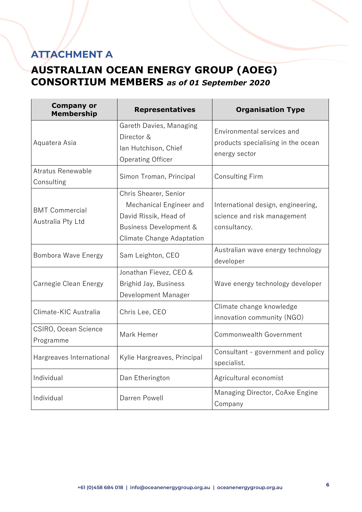## **ATTACHMENT A**

### **AUSTRALIAN OCEAN ENERGY GROUP (AOEG) CONSORTIUM MEMBERS** *as of 01 September 2020*

| <b>Company or</b><br><b>Membership</b>     | <b>Representatives</b>                                                                                                           | <b>Organisation Type</b>                                                          |
|--------------------------------------------|----------------------------------------------------------------------------------------------------------------------------------|-----------------------------------------------------------------------------------|
| Aquatera Asia                              | Gareth Davies, Managing<br>Director &<br>lan Hutchison, Chief<br><b>Operating Officer</b>                                        | Environmental services and<br>products specialising in the ocean<br>energy sector |
| Atratus Renewable<br>Consulting            | Simon Troman, Principal                                                                                                          | <b>Consulting Firm</b>                                                            |
| <b>BMT Commercial</b><br>Australia Pty Ltd | Chris Shearer, Senior<br>Mechanical Engineer and<br>David Rissik, Head of<br>Business Development &<br>Climate Change Adaptation | International design, engineering,<br>science and risk management<br>consultancy. |
| Bombora Wave Energy                        | Sam Leighton, CEO                                                                                                                | Australian wave energy technology<br>developer                                    |
| Carnegie Clean Energy                      | Jonathan Fievez, CEO &<br>Brighid Jay, Business<br>Development Manager                                                           | Wave energy technology developer                                                  |
| Climate-KIC Australia                      | Chris Lee, CEO                                                                                                                   | Climate change knowledge<br>innovation community (NGO)                            |
| CSIRO, Ocean Science<br>Programme          | Mark Hemer                                                                                                                       | Commonwealth Government                                                           |
| Hargreaves International                   | Kylie Hargreaves, Principal                                                                                                      | Consultant - government and policy<br>specialist.                                 |
| Individual                                 | Dan Etherington                                                                                                                  | Agricultural economist                                                            |
| Individual                                 | Darren Powell                                                                                                                    | Managing Director, CoAxe Engine<br>Company                                        |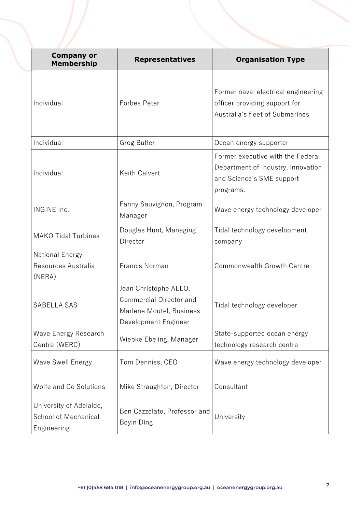| <b>Company or</b><br><b>Membership</b>                         | <b>Representatives</b>                                                                               | <b>Organisation Type</b>                                                                                          |
|----------------------------------------------------------------|------------------------------------------------------------------------------------------------------|-------------------------------------------------------------------------------------------------------------------|
| Individual                                                     | <b>Forbes Peter</b>                                                                                  | Former naval electrical engineering<br>officer providing support for<br>Australia's fleet of Submarines           |
| Individual                                                     | <b>Greg Butler</b>                                                                                   | Ocean energy supporter                                                                                            |
| Individual                                                     | <b>Keith Calvert</b>                                                                                 | Former executive with the Federal<br>Department of Industry, Innovation<br>and Science's SME support<br>programs. |
| <b>INGINE Inc.</b>                                             | Fanny Sauvignon, Program<br>Manager                                                                  | Wave energy technology developer                                                                                  |
| <b>MAKO Tidal Turbines</b>                                     | Douglas Hunt, Managing<br>Director                                                                   | Tidal technology development<br>company                                                                           |
| <b>National Energy</b><br>Resources Australia<br>(NERA)        | Francis Norman                                                                                       | Commonwealth Growth Centre                                                                                        |
| <b>SABELLA SAS</b>                                             | Jean Christophe ALLO,<br>Commercial Director and<br>Marlene Moutel, Business<br>Development Engineer | Tidal technology developer                                                                                        |
| Wave Energy Research<br>Centre (WERC)                          | Wiebke Ebeling, Manager                                                                              | State-supported ocean energy<br>technology research centre                                                        |
| <b>Wave Swell Energy</b>                                       | Tom Denniss, CEO                                                                                     | Wave energy technology developer                                                                                  |
| Wolfe and Co Solutions                                         | Mike Straughton, Director                                                                            | Consultant                                                                                                        |
| University of Adelaide,<br>School of Mechanical<br>Engineering | Ben Cazzolato, Professor and<br>Boyin Ding                                                           | University                                                                                                        |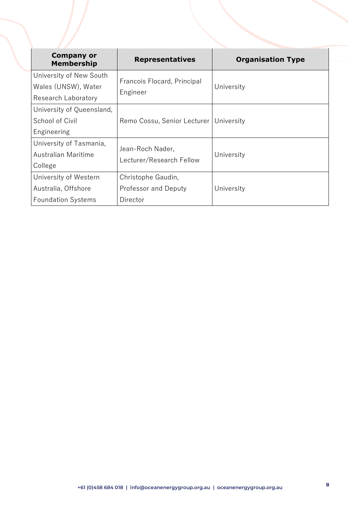| <b>Company or</b><br><b>Membership</b> | <b>Representatives</b>                       | <b>Organisation Type</b> |
|----------------------------------------|----------------------------------------------|--------------------------|
| University of New South                | Francois Flocard, Principal<br>Engineer      | University               |
| Wales (UNSW), Water                    |                                              |                          |
| Research Laboratory                    |                                              |                          |
| University of Queensland,              |                                              |                          |
| School of Civil                        | Remo Cossu, Senior Lecturer   University     |                          |
| Engineering                            |                                              |                          |
| University of Tasmania,                | Jean-Roch Nader,<br>Lecturer/Research Fellow | University               |
| Australian Maritime                    |                                              |                          |
| College                                |                                              |                          |
| University of Western                  | Christophe Gaudin,                           |                          |
| Australia, Offshore                    | <b>Professor and Deputy</b>                  | University               |
| <b>Foundation Systems</b>              | Director                                     |                          |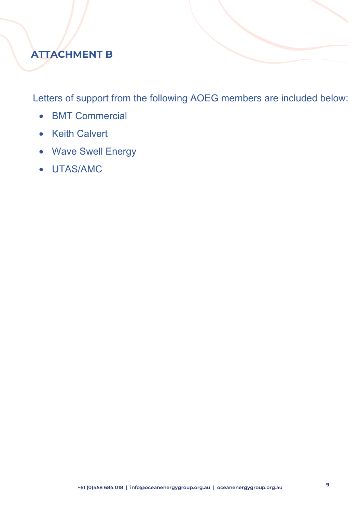# **ATTACHMENT B**

Letters of support from the following AOEG members are included below:

- BMT Commercial
- Keith Calvert
- Wave Swell Energy
- UTAS/AMC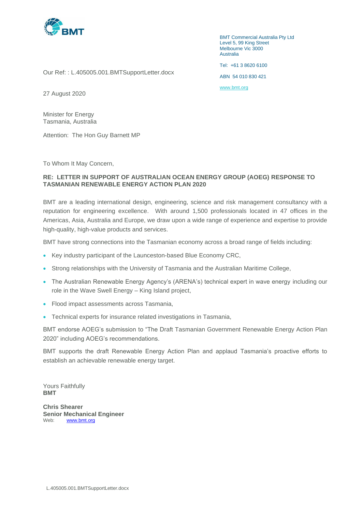

BMT Commercial Australia Pty Ltd Level 5, 99 King Street Melbourne Vic 3000 Australia

Tel: +61 3 8620 6100 ABN 54 010 830 421

Our Ref: : L.405005.001.BMTSupportLetter.docx

[www.bmt.org](http://www.bmt.org/)

27 August 2020

Minister for Energy Tasmania, Australia

Attention: The Hon Guy Barnett MP

To Whom It May Concern,

#### **RE: LETTER IN SUPPORT OF AUSTRALIAN OCEAN ENERGY GROUP (AOEG) RESPONSE TO TASMANIAN RENEWABLE ENERGY ACTION PLAN 2020**

BMT are a leading international design, engineering, science and risk management consultancy with a reputation for engineering excellence. With around 1,500 professionals located in 47 offices in the Americas, Asia, Australia and Europe, we draw upon a wide range of experience and expertise to provide high-quality, high-value products and services.

BMT have strong connections into the Tasmanian economy across a broad range of fields including:

- Key industry participant of the Launceston-based Blue Economy CRC,
- Strong relationships with the University of Tasmania and the Australian Maritime College,
- The Australian Renewable Energy Agency's (ARENA's) technical expert in wave energy including our role in the Wave Swell Energy – King Island project,
- Flood impact assessments across Tasmania,
- Technical experts for insurance related investigations in Tasmania,

BMT endorse AOEG's submission to "The Draft Tasmanian Government Renewable Energy Action Plan 2020" including AOEG's recommendations.

BMT supports the draft Renewable Energy Action Plan and applaud Tasmania's proactive efforts to establish an achievable renewable energy target.

Yours Faithfully **BMT** 

**Chris Shearer Senior Mechanical Engineer** Web: [www.bmt.org](https://protect-eu.mimecast.com/s/vk-dCy9r6fDLWNUZLkMr?domain=bmt.org)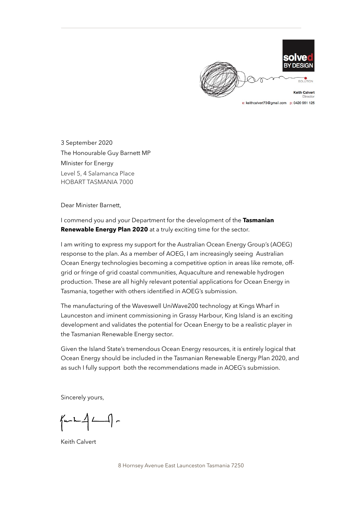

e: keithcalvert73@gmail.com p: 0420 961 125

3 September 2020 The Honourable Guy Barnett MP MInister for Energy Level 5, 4 Salamanca Place HOBART TASMANIA 7000

Dear Minister Barnett,

I commend you and your Department for the development of the **Tasmanian Renewable Energy Plan 2020** at a truly exciting time for the sector.

I am writing to express my support for the Australian Ocean Energy Group's (AOEG) response to the plan. As a member of AOEG, I am increasingly seeing Australian Ocean Energy technologies becoming a competitive option in areas like remote, offgrid or fringe of grid coastal communities, Aquaculture and renewable hydrogen production. These are all highly relevant potential applications for Ocean Energy in Tasmania, together with others identified in AOEG's submission.

The manufacturing of the Waveswell UniWave200 technology at Kings Wharf in Launceston and iminent commissioning in Grassy Harbour, King Island is an exciting development and validates the potential for Ocean Energy to be a realistic player in the Tasmanian Renewable Energy sector.

Given the Island State's tremendous Ocean Energy resources, it is entirely logical that Ocean Energy should be included in the Tasmanian Renewable Energy Plan 2020, and as such I fully support both the recommendations made in AOEG's submission.

Sincerely yours,

 $\sqrt{u - h - 1}$  -

Keith Calvert

8 Hornsey Avenue East Launceston Tasmania 7250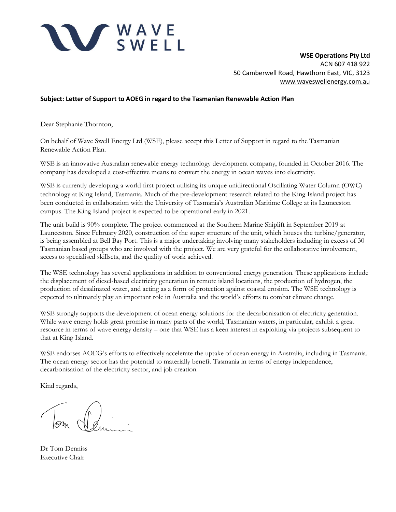

**WSE Operations Pty Ltd** ACN 607 418 922 50 Camberwell Road, Hawthorn East, VIC, 3123 [www.waveswellenergy.com.au](http://www.waveswellenergy.com.au/)

#### **Subject: Letter of Support to AOEG in regard to the Tasmanian Renewable Action Plan**

Dear Stephanie Thornton,

On behalf of Wave Swell Energy Ltd (WSE), please accept this Letter of Support in regard to the Tasmanian Renewable Action Plan.

WSE is an innovative Australian renewable energy technology development company, founded in October 2016. The company has developed a cost-effective means to convert the energy in ocean waves into electricity.

WSE is currently developing a world first project utilising its unique unidirectional Oscillating Water Column (OWC) technology at King Island, Tasmania. Much of the pre-development research related to the King Island project has been conducted in collaboration with the University of Tasmania's Australian Maritime College at its Launceston campus. The King Island project is expected to be operational early in 2021.

The unit build is 90% complete. The project commenced at the Southern Marine Shiplift in September 2019 at Launceston. Since February 2020, construction of the super structure of the unit, which houses the turbine/generator, is being assembled at Bell Bay Port. This is a major undertaking involving many stakeholders including in excess of 30 Tasmanian based groups who are involved with the project. We are very grateful for the collaborative involvement, access to specialised skillsets, and the quality of work achieved.

The WSE technology has several applications in addition to conventional energy generation. These applications include the displacement of diesel-based electricity generation in remote island locations, the production of hydrogen, the production of desalinated water, and acting as a form of protection against coastal erosion. The WSE technology is expected to ultimately play an important role in Australia and the world's efforts to combat climate change.

WSE strongly supports the development of ocean energy solutions for the decarbonisation of electricity generation. While wave energy holds great promise in many parts of the world, Tasmanian waters, in particular, exhibit a great resource in terms of wave energy density – one that WSE has a keen interest in exploiting via projects subsequent to that at King Island.

WSE endorses AOEG's efforts to effectively accelerate the uptake of ocean energy in Australia, including in Tasmania. The ocean energy sector has the potential to materially benefit Tasmania in terms of energy independence, decarbonisation of the electricity sector, and job creation.

Kind regards,

Dr Tom Denniss Executive Chair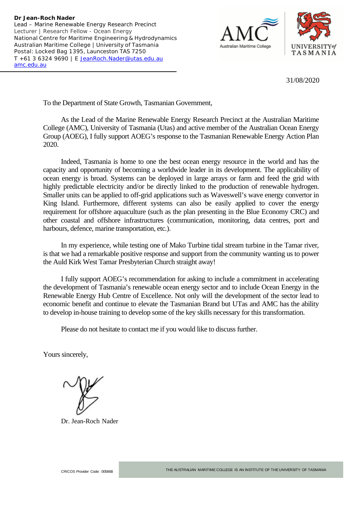



31/08/2020

To the Department of State Growth, Tasmanian Government,

As the Lead of the Marine Renewable Energy Research Precinct at the Australian Maritime College (AMC), University of Tasmania (Utas) and active member of the Australian Ocean Energy Group (AOEG), I fully support AOEG's response to the Tasmanian Renewable Energy Action Plan 2020.

Indeed, Tasmania is home to one the best ocean energy resource in the world and has the capacity and opportunity of becoming a worldwide leader in its development. The applicability of ocean energy is broad. Systems can be deployed in large arrays or farm and feed the grid with highly predictable electricity and/or be directly linked to the production of renewable hydrogen. Smaller units can be applied to off-grid applications such as Waveswell's wave energy convertor in King Island. Furthermore, different systems can also be easily applied to cover the energy requirement for offshore aquaculture (such as the plan presenting in the Blue Economy CRC) and other coastal and offshore infrastructures (communication, monitoring, data centres, port and harbours, defence, marine transportation, etc.).

In my experience, while testing one of Mako Turbine tidal stream turbine in the Tamar river, is that we had a remarkable positive response and support from the community wanting us to power the Auld Kirk West Tamar Presbyterian Church straight away!

I fully support AOEG's recommendation for asking to include a commitment in accelerating the development of Tasmania's renewable ocean energy sector and to include Ocean Energy in the Renewable Energy Hub Centre of Excellence. Not only will the development of the sector lead to economic benefit and continue to elevate the Tasmanian Brand but UTas and AMC has the ability to develop in-house training to develop some of the key skills necessary for this transformation.

Please do not hesitate to contact me if you would like to discuss further.

Yours sincerely,

Dr. Jean-Roch Nader